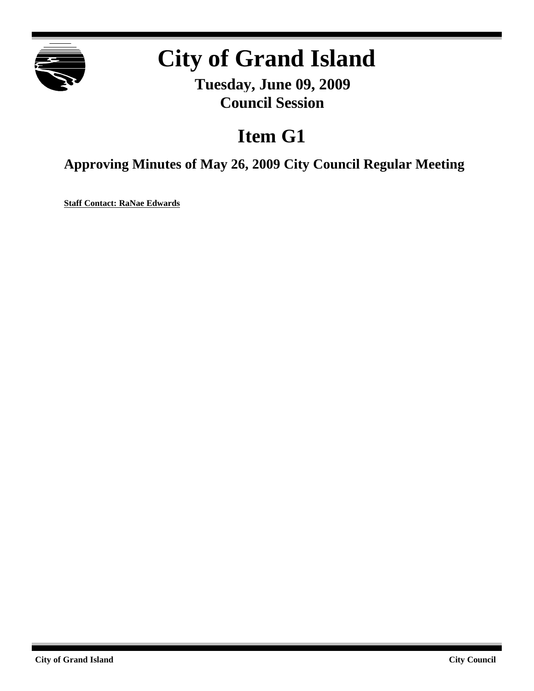

# **City of Grand Island**

**Tuesday, June 09, 2009 Council Session**

# **Item G1**

**Approving Minutes of May 26, 2009 City Council Regular Meeting**

**Staff Contact: RaNae Edwards**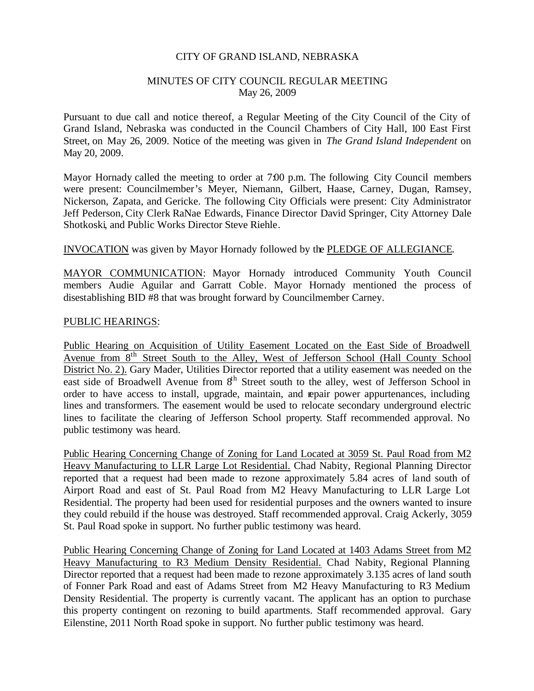#### CITY OF GRAND ISLAND, NEBRASKA

#### MINUTES OF CITY COUNCIL REGULAR MEETING May 26, 2009

Pursuant to due call and notice thereof, a Regular Meeting of the City Council of the City of Grand Island, Nebraska was conducted in the Council Chambers of City Hall, 100 East First Street, on May 26, 2009. Notice of the meeting was given in *The Grand Island Independent* on May 20, 2009.

Mayor Hornady called the meeting to order at 7:00 p.m. The following City Council members were present: Councilmember's Meyer, Niemann, Gilbert, Haase, Carney, Dugan, Ramsey, Nickerson, Zapata, and Gericke. The following City Officials were present: City Administrator Jeff Pederson, City Clerk RaNae Edwards, Finance Director David Springer, City Attorney Dale Shotkoski, and Public Works Director Steve Riehle.

#### INVOCATION was given by Mayor Hornady followed by the PLEDGE OF ALLEGIANCE.

MAYOR COMMUNICATION: Mayor Hornady introduced Community Youth Council members Audie Aguilar and Garratt Coble. Mayor Hornady mentioned the process of disestablishing BID #8 that was brought forward by Councilmember Carney.

#### PUBLIC HEARINGS:

Public Hearing on Acquisition of Utility Easement Located on the East Side of Broadwell Avenue from 8<sup>th</sup> Street South to the Alley, West of Jefferson School (Hall County School District No. 2). Gary Mader, Utilities Director reported that a utility easement was needed on the east side of Broadwell Avenue from  $8<sup>th</sup>$  Street south to the alley, west of Jefferson School in order to have access to install, upgrade, maintain, and repair power appurtenances, including lines and transformers. The easement would be used to relocate secondary underground electric lines to facilitate the clearing of Jefferson School property. Staff recommended approval. No public testimony was heard.

Public Hearing Concerning Change of Zoning for Land Located at 3059 St. Paul Road from M2 Heavy Manufacturing to LLR Large Lot Residential. Chad Nabity, Regional Planning Director reported that a request had been made to rezone approximately 5.84 acres of land south of Airport Road and east of St. Paul Road from M2 Heavy Manufacturing to LLR Large Lot Residential. The property had been used for residential purposes and the owners wanted to insure they could rebuild if the house was destroyed. Staff recommended approval. Craig Ackerly, 3059 St. Paul Road spoke in support. No further public testimony was heard.

Public Hearing Concerning Change of Zoning for Land Located at 1403 Adams Street from M2 Heavy Manufacturing to R3 Medium Density Residential. Chad Nabity, Regional Planning Director reported that a request had been made to rezone approximately 3.135 acres of land south of Fonner Park Road and east of Adams Street from M2 Heavy Manufacturing to R3 Medium Density Residential. The property is currently vacant. The applicant has an option to purchase this property contingent on rezoning to build apartments. Staff recommended approval. Gary Eilenstine, 2011 North Road spoke in support. No further public testimony was heard.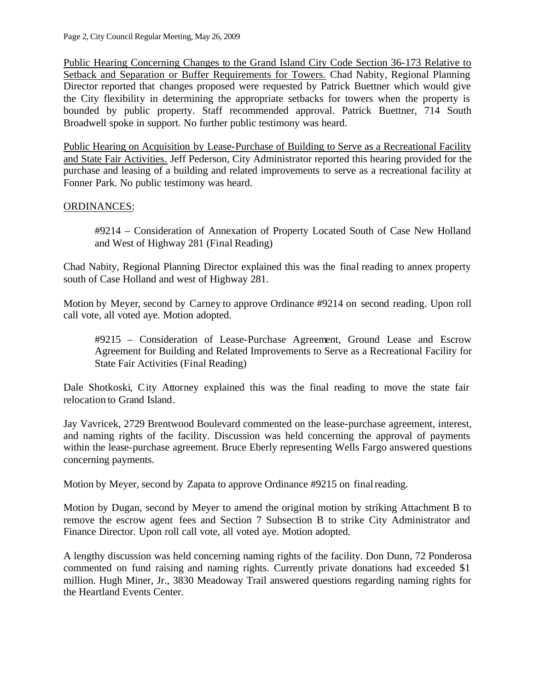Public Hearing Concerning Changes to the Grand Island City Code Section 36-173 Relative to Setback and Separation or Buffer Requirements for Towers. Chad Nabity, Regional Planning Director reported that changes proposed were requested by Patrick Buettner which would give the City flexibility in determining the appropriate setbacks for towers when the property is bounded by public property. Staff recommended approval. Patrick Buettner, 714 South Broadwell spoke in support. No further public testimony was heard.

Public Hearing on Acquisition by Lease-Purchase of Building to Serve as a Recreational Facility and State Fair Activities. Jeff Pederson, City Administrator reported this hearing provided for the purchase and leasing of a building and related improvements to serve as a recreational facility at Fonner Park. No public testimony was heard.

## ORDINANCES:

#9214 – Consideration of Annexation of Property Located South of Case New Holland and West of Highway 281 (Final Reading)

Chad Nabity, Regional Planning Director explained this was the final reading to annex property south of Case Holland and west of Highway 281.

Motion by Meyer, second by Carney to approve Ordinance #9214 on second reading. Upon roll call vote, all voted aye. Motion adopted.

#9215 – Consideration of Lease-Purchase Agreement, Ground Lease and Escrow Agreement for Building and Related Improvements to Serve as a Recreational Facility for State Fair Activities (Final Reading)

Dale Shotkoski, City Attorney explained this was the final reading to move the state fair relocation to Grand Island.

Jay Vavricek, 2729 Brentwood Boulevard commented on the lease-purchase agreement, interest, and naming rights of the facility. Discussion was held concerning the approval of payments within the lease-purchase agreement. Bruce Eberly representing Wells Fargo answered questions concerning payments.

Motion by Meyer, second by Zapata to approve Ordinance #9215 on final reading.

Motion by Dugan, second by Meyer to amend the original motion by striking Attachment B to remove the escrow agent fees and Section 7 Subsection B to strike City Administrator and Finance Director. Upon roll call vote, all voted aye. Motion adopted.

A lengthy discussion was held concerning naming rights of the facility. Don Dunn, 72 Ponderosa commented on fund raising and naming rights. Currently private donations had exceeded \$1 million. Hugh Miner, Jr., 3830 Meadoway Trail answered questions regarding naming rights for the Heartland Events Center.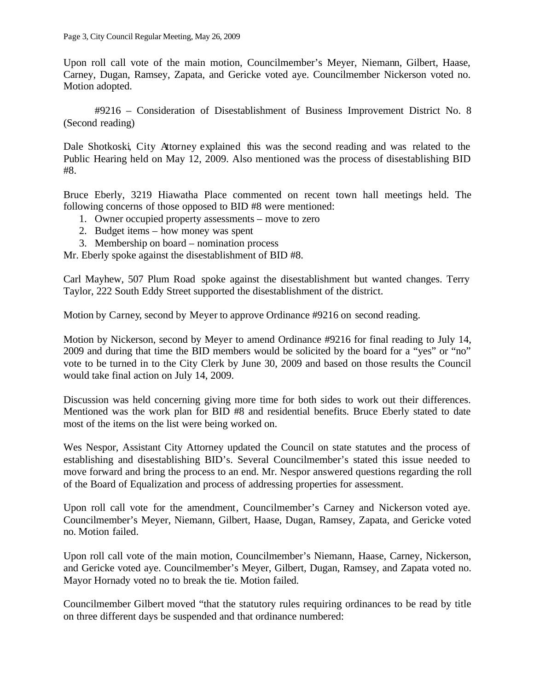Upon roll call vote of the main motion, Councilmember's Meyer, Niemann, Gilbert, Haase, Carney, Dugan, Ramsey, Zapata, and Gericke voted aye. Councilmember Nickerson voted no. Motion adopted.

#9216 – Consideration of Disestablishment of Business Improvement District No. 8 (Second reading)

Dale Shotkoski, City Attorney explained this was the second reading and was related to the Public Hearing held on May 12, 2009. Also mentioned was the process of disestablishing BID #8.

Bruce Eberly, 3219 Hiawatha Place commented on recent town hall meetings held. The following concerns of those opposed to BID #8 were mentioned:

- 1. Owner occupied property assessments move to zero
- 2. Budget items how money was spent
- 3. Membership on board nomination process

Mr. Eberly spoke against the disestablishment of BID #8.

Carl Mayhew, 507 Plum Road spoke against the disestablishment but wanted changes. Terry Taylor, 222 South Eddy Street supported the disestablishment of the district.

Motion by Carney, second by Meyer to approve Ordinance #9216 on second reading.

Motion by Nickerson, second by Meyer to amend Ordinance #9216 for final reading to July 14, 2009 and during that time the BID members would be solicited by the board for a "yes" or "no" vote to be turned in to the City Clerk by June 30, 2009 and based on those results the Council would take final action on July 14, 2009.

Discussion was held concerning giving more time for both sides to work out their differences. Mentioned was the work plan for BID #8 and residential benefits. Bruce Eberly stated to date most of the items on the list were being worked on.

Wes Nespor, Assistant City Attorney updated the Council on state statutes and the process of establishing and disestablishing BID's. Several Councilmember's stated this issue needed to move forward and bring the process to an end. Mr. Nespor answered questions regarding the roll of the Board of Equalization and process of addressing properties for assessment.

Upon roll call vote for the amendment, Councilmember's Carney and Nickerson voted aye. Councilmember's Meyer, Niemann, Gilbert, Haase, Dugan, Ramsey, Zapata, and Gericke voted no. Motion failed.

Upon roll call vote of the main motion, Councilmember's Niemann, Haase, Carney, Nickerson, and Gericke voted aye. Councilmember's Meyer, Gilbert, Dugan, Ramsey, and Zapata voted no. Mayor Hornady voted no to break the tie. Motion failed.

Councilmember Gilbert moved "that the statutory rules requiring ordinances to be read by title on three different days be suspended and that ordinance numbered: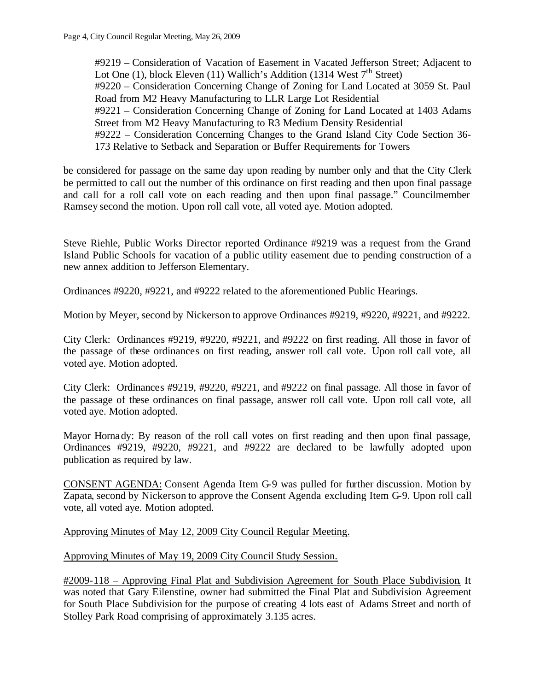#9219 – Consideration of Vacation of Easement in Vacated Jefferson Street; Adjacent to Lot One (1), block Eleven (11) Wallich's Addition (1314 West  $7<sup>th</sup>$  Street) #9220 – Consideration Concerning Change of Zoning for Land Located at 3059 St. Paul Road from M2 Heavy Manufacturing to LLR Large Lot Residential #9221 – Consideration Concerning Change of Zoning for Land Located at 1403 Adams Street from M2 Heavy Manufacturing to R3 Medium Density Residential #9222 – Consideration Concerning Changes to the Grand Island City Code Section 36- 173 Relative to Setback and Separation or Buffer Requirements for Towers

be considered for passage on the same day upon reading by number only and that the City Clerk be permitted to call out the number of this ordinance on first reading and then upon final passage and call for a roll call vote on each reading and then upon final passage." Councilmember Ramsey second the motion. Upon roll call vote, all voted aye. Motion adopted.

Steve Riehle, Public Works Director reported Ordinance #9219 was a request from the Grand Island Public Schools for vacation of a public utility easement due to pending construction of a new annex addition to Jefferson Elementary.

Ordinances #9220, #9221, and #9222 related to the aforementioned Public Hearings.

Motion by Meyer, second by Nickerson to approve Ordinances #9219, #9220, #9221, and #9222.

City Clerk: Ordinances #9219, #9220, #9221, and #9222 on first reading. All those in favor of the passage of these ordinances on first reading, answer roll call vote. Upon roll call vote, all voted aye. Motion adopted.

City Clerk: Ordinances #9219, #9220, #9221, and #9222 on final passage. All those in favor of the passage of these ordinances on final passage, answer roll call vote. Upon roll call vote, all voted aye. Motion adopted.

Mayor Hornady: By reason of the roll call votes on first reading and then upon final passage, Ordinances #9219, #9220, #9221, and #9222 are declared to be lawfully adopted upon publication as required by law.

CONSENT AGENDA: Consent Agenda Item G-9 was pulled for further discussion. Motion by Zapata, second by Nickerson to approve the Consent Agenda excluding Item G-9. Upon roll call vote, all voted aye. Motion adopted.

Approving Minutes of May 12, 2009 City Council Regular Meeting.

Approving Minutes of May 19, 2009 City Council Study Session.

#2009-118 – Approving Final Plat and Subdivision Agreement for South Place Subdivision. It was noted that Gary Eilenstine, owner had submitted the Final Plat and Subdivision Agreement for South Place Subdivision for the purpose of creating 4 lots east of Adams Street and north of Stolley Park Road comprising of approximately 3.135 acres.